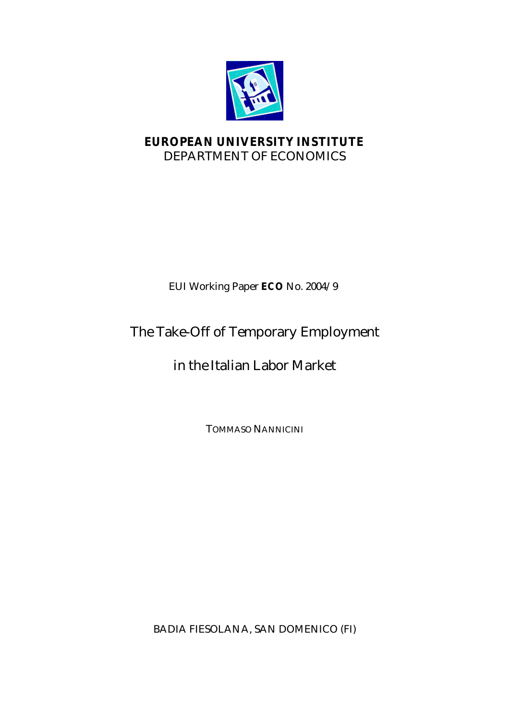

## **EUROPEAN UNIVERSITY INSTITUTE** DEPARTMENT OF ECONOMICS

## EUI Working Paper **ECO** No. 2004/9

## The Take-Off of Temporary Employment

# in the Italian Labor Market

TOMMASO NANNICINI

BADIA FIESOLANA, SAN DOMENICO (FI)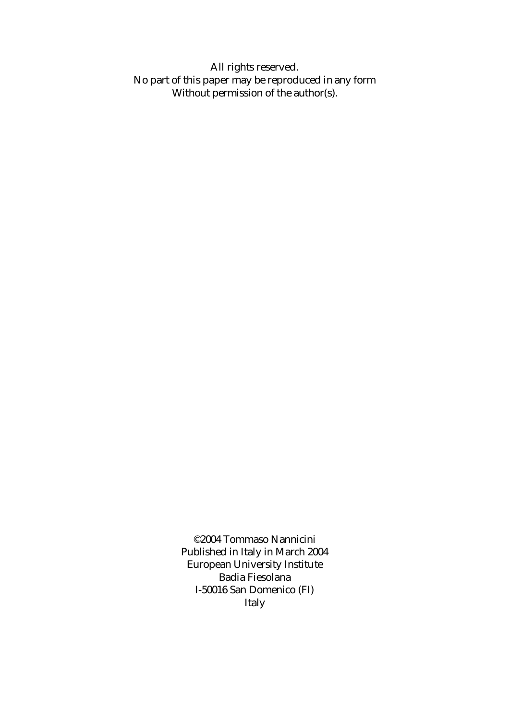All rights reserved. No part of this paper may be reproduced in any form Without permission of the author(s).

> ©2004 Tommaso Nannicini Published in Italy in March 2004 European University Institute Badia Fiesolana I-50016 San Domenico (FI) Italy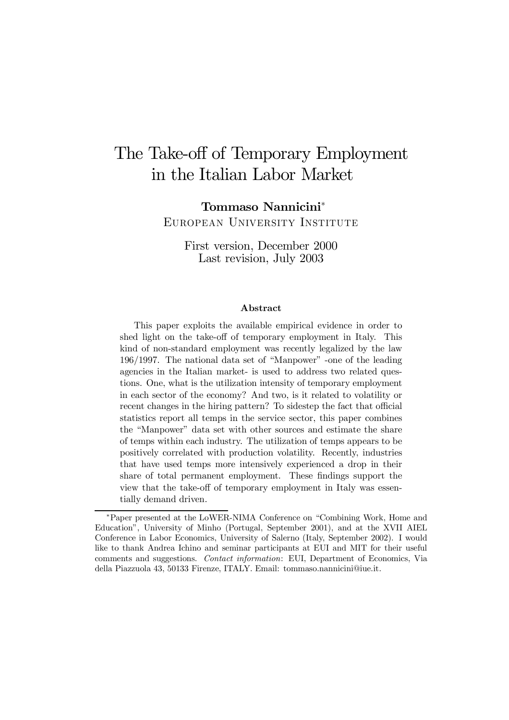# The Take-off of Temporary Employment in the Italian Labor Market

Tommaso Nannicini<sup>∗</sup> European University Institute

First version, December 2000 Last revision, July 2003

#### Abstract

This paper exploits the available empirical evidence in order to shed light on the take-off of temporary employment in Italy. This kind of non-standard employment was recently legalized by the law 196/1997. The national data set of "Manpower" -one of the leading agencies in the Italian market- is used to address two related questions. One, what is the utilization intensity of temporary employment in each sector of the economy? And two, is it related to volatility or recent changes in the hiring pattern? To sidestep the fact that official statistics report all temps in the service sector, this paper combines the "Manpower" data set with other sources and estimate the share of temps within each industry. The utilization of temps appears to be positively correlated with production volatility. Recently, industries that have used temps more intensively experienced a drop in their share of total permanent employment. These findings support the view that the take-off of temporary employment in Italy was essentially demand driven.

<sup>∗</sup>Paper presented at the LoWER-NIMA Conference on "Combining Work, Home and Education", University of Minho (Portugal, September 2001), and at the XVII AIEL Conference in Labor Economics, University of Salerno (Italy, September 2002). I would like to thank Andrea Ichino and seminar participants at EUI and MIT for their useful comments and suggestions. Contact information: EUI, Department of Economics, Via della Piazzuola 43, 50133 Firenze, ITALY. Email: tommaso.nannicini@iue.it.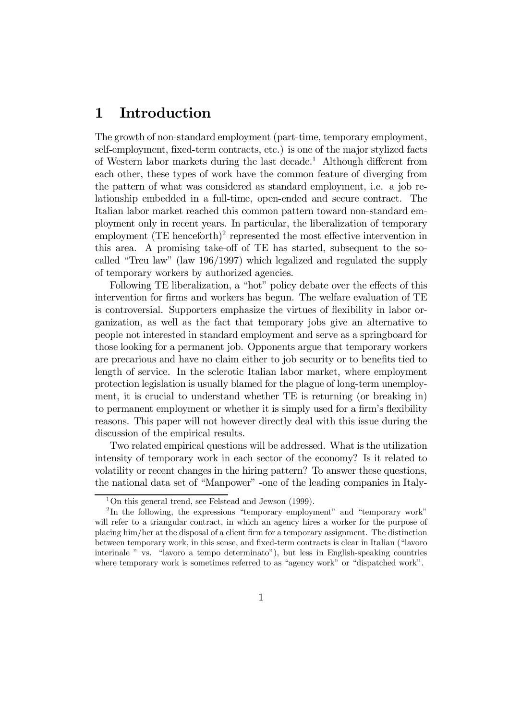### 1 Introduction

The growth of non-standard employment (part-time, temporary employment, self-employment, fixed-term contracts, etc.) is one of the major stylized facts of Western labor markets during the last decade.<sup>1</sup> Although different from each other, these types of work have the common feature of diverging from the pattern of what was considered as standard employment, i.e. a job relationship embedded in a full-time, open-ended and secure contract. The Italian labor market reached this common pattern toward non-standard employment only in recent years. In particular, the liberalization of temporary employment  $(TE \, henceforth)^2$  represented the most effective intervention in this area. A promising take-off of TE has started, subsequent to the socalled "Treu law" (law 196/1997) which legalized and regulated the supply of temporary workers by authorized agencies.

Following TE liberalization, a "hot" policy debate over the effects of this intervention for firms and workers has begun. The welfare evaluation of TE is controversial. Supporters emphasize the virtues of flexibility in labor organization, as well as the fact that temporary jobs give an alternative to people not interested in standard employment and serve as a springboard for those looking for a permanent job. Opponents argue that temporary workers are precarious and have no claim either to job security or to benefits tied to length of service. In the sclerotic Italian labor market, where employment protection legislation is usually blamed for the plague of long-term unemployment, it is crucial to understand whether TE is returning (or breaking in) to permanent employment or whether it is simply used for a firm's flexibility reasons. This paper will not however directly deal with this issue during the discussion of the empirical results.

Two related empirical questions will be addressed. What is the utilization intensity of temporary work in each sector of the economy? Is it related to volatility or recent changes in the hiring pattern? To answer these questions, the national data set of "Manpower" -one of the leading companies in Italy-

<sup>&</sup>lt;sup>1</sup>On this general trend, see Felstead and Jewson  $(1999)$ .

<sup>&</sup>lt;sup>2</sup>In the following, the expressions "temporary employment" and "temporary work" will refer to a triangular contract, in which an agency hires a worker for the purpose of placing him/her at the disposal of a client firm for a temporary assignment. The distinction between temporary work, in this sense, and fixed-term contracts is clear in Italian ("lavoro interinale " vs. "lavoro a tempo determinato"), but less in English-speaking countries where temporary work is sometimes referred to as "agency work" or "dispatched work".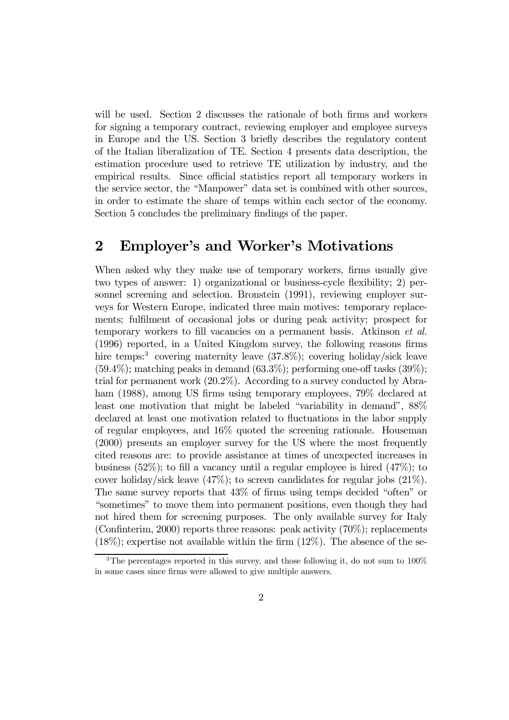will be used. Section 2 discusses the rationale of both firms and workers for signing a temporary contract, reviewing employer and employee surveys in Europe and the US. Section 3 briefly describes the regulatory content of the Italian liberalization of TE. Section 4 presents data description, the estimation procedure used to retrieve TE utilization by industry, and the empirical results. Since official statistics report all temporary workers in the service sector, the "Manpower" data set is combined with other sources, in order to estimate the share of temps within each sector of the economy. Section 5 concludes the preliminary findings of the paper.

#### 2 Employer's and Worker's Motivations

When asked why they make use of temporary workers, firms usually give two types of answer: 1) organizational or business-cycle flexibility; 2) personnel screening and selection. Bronstein (1991), reviewing employer surveys for Western Europe, indicated three main motives: temporary replacements; fulfilment of occasional jobs or during peak activity; prospect for temporary workers to fill vacancies on a permanent basis. Atkinson et al. (1996) reported, in a United Kingdom survey, the following reasons firms hire temps:<sup>3</sup> covering maternity leave  $(37.8\%)$ ; covering holiday/sick leave  $(59.4\%)$ ; matching peaks in demand  $(63.3\%)$ ; performing one-off tasks  $(39\%)$ ; trial for permanent work (20.2%). According to a survey conducted by Abraham (1988), among US firms using temporary employees, 79% declared at least one motivation that might be labeled "variability in demand", 88% declared at least one motivation related to fluctuations in the labor supply of regular employees, and 16% quoted the screening rationale. Houseman (2000) presents an employer survey for the US where the most frequently cited reasons are: to provide assistance at times of unexpected increases in business (52%); to fill a vacancy until a regular employee is hired  $(47\%)$ ; to cover holiday/sick leave  $(47\%)$ ; to screen candidates for regular jobs  $(21\%)$ . The same survey reports that 43% of firms using temps decided "often" or "sometimes" to move them into permanent positions, even though they had not hired them for screening purposes. The only available survey for Italy (Confinterim, 2000) reports three reasons: peak activity  $(70\%)$ ; replacements  $(18\%)$ ; expertise not available within the firm  $(12\%)$ . The absence of the se-

<sup>&</sup>lt;sup>3</sup>The percentages reported in this survey, and those following it, do not sum to 100% in some cases since firms were allowed to give multiple answers.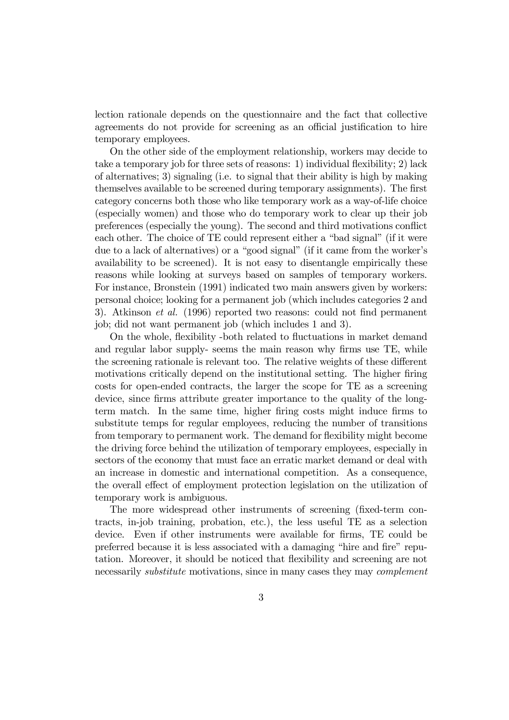lection rationale depends on the questionnaire and the fact that collective agreements do not provide for screening as an official justification to hire temporary employees.

On the other side of the employment relationship, workers may decide to take a temporary job for three sets of reasons: 1) individual flexibility; 2) lack of alternatives; 3) signaling (i.e. to signal that their ability is high by making themselves available to be screened during temporary assignments). The first category concerns both those who like temporary work as a way-of-life choice (especially women) and those who do temporary work to clear up their job preferences (especially the young). The second and third motivations conflict each other. The choice of TE could represent either a "bad signal" (if it were due to a lack of alternatives) or a "good signal" (if it came from the worker's availability to be screened). It is not easy to disentangle empirically these reasons while looking at surveys based on samples of temporary workers. For instance, Bronstein (1991) indicated two main answers given by workers: personal choice; looking for a permanent job (which includes categories 2 and 3). Atkinson et al. (1996) reported two reasons: could not find permanent job; did not want permanent job (which includes 1 and 3).

On the whole, flexibility -both related to fluctuations in market demand and regular labor supply- seems the main reason why firms use TE, while the screening rationale is relevant too. The relative weights of these different motivations critically depend on the institutional setting. The higher firing costs for open-ended contracts, the larger the scope for TE as a screening device, since firms attribute greater importance to the quality of the longterm match. In the same time, higher firing costs might induce firms to substitute temps for regular employees, reducing the number of transitions from temporary to permanent work. The demand for flexibility might become the driving force behind the utilization of temporary employees, especially in sectors of the economy that must face an erratic market demand or deal with an increase in domestic and international competition. As a consequence, the overall effect of employment protection legislation on the utilization of temporary work is ambiguous.

The more widespread other instruments of screening (fixed-term contracts, in-job training, probation, etc.), the less useful TE as a selection device. Even if other instruments were available for firms, TE could be preferred because it is less associated with a damaging "hire and fire" reputation. Moreover, it should be noticed that flexibility and screening are not necessarily *substitute* motivations, since in many cases they may *complement*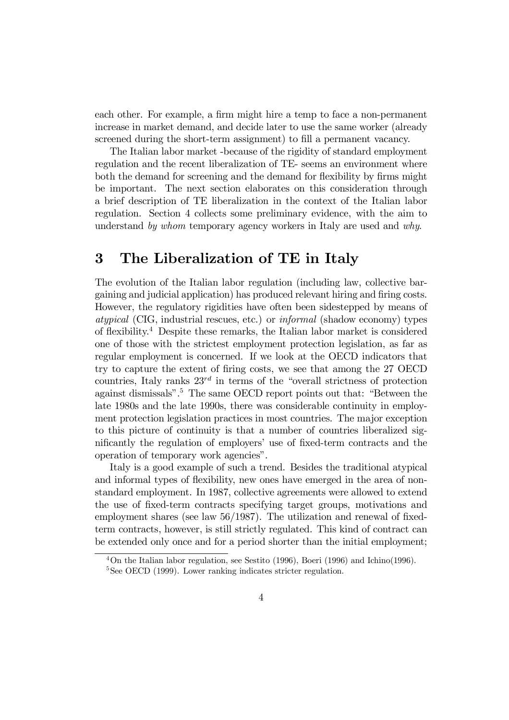each other. For example, a firm might hire a temp to face a non-permanent increase in market demand, and decide later to use the same worker (already screened during the short-term assignment) to fill a permanent vacancy.

The Italian labor market -because of the rigidity of standard employment regulation and the recent liberalization of TE- seems an environment where both the demand for screening and the demand for flexibility by firms might be important. The next section elaborates on this consideration through a brief description of TE liberalization in the context of the Italian labor regulation. Section 4 collects some preliminary evidence, with the aim to understand by whom temporary agency workers in Italy are used and why.

#### 3 The Liberalization of TE in Italy

The evolution of the Italian labor regulation (including law, collective bargaining and judicial application) has produced relevant hiring and firing costs. However, the regulatory rigidities have often been sidestepped by means of atypical (CIG, industrial rescues, etc.) or informal (shadow economy) types of flexibility.4 Despite these remarks, the Italian labor market is considered one of those with the strictest employment protection legislation, as far as regular employment is concerned. If we look at the OECD indicators that try to capture the extent of firing costs, we see that among the 27 OECD countries, Italy ranks  $23^{rd}$  in terms of the "overall strictness of protection against dismissals".5 The same OECD report points out that: "Between the late 1980s and the late 1990s, there was considerable continuity in employment protection legislation practices in most countries. The major exception to this picture of continuity is that a number of countries liberalized significantly the regulation of employers' use of fixed-term contracts and the operation of temporary work agencies".

Italy is a good example of such a trend. Besides the traditional atypical and informal types of flexibility, new ones have emerged in the area of nonstandard employment. In 1987, collective agreements were allowed to extend the use of fixed-term contracts specifying target groups, motivations and employment shares (see law 56/1987). The utilization and renewal of fixedterm contracts, however, is still strictly regulated. This kind of contract can be extended only once and for a period shorter than the initial employment;

<sup>4</sup>On the Italian labor regulation, see Sestito (1996), Boeri (1996) and Ichino(1996).

<sup>&</sup>lt;sup>5</sup>See OECD (1999). Lower ranking indicates stricter regulation.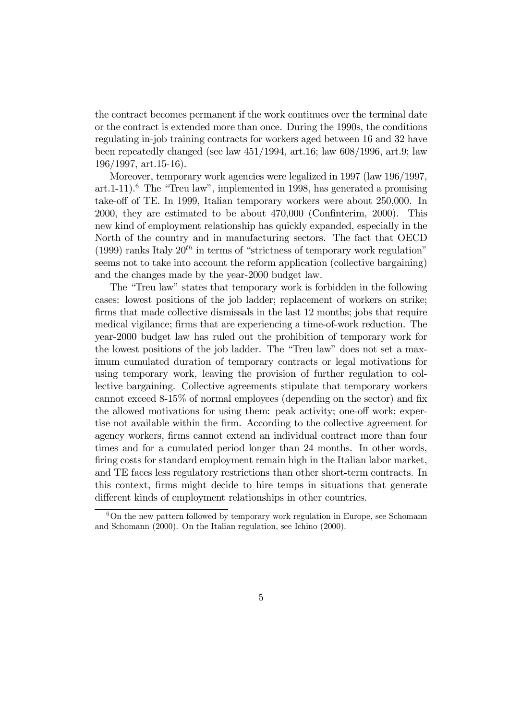the contract becomes permanent if the work continues over the terminal date or the contract is extended more than once. During the 1990s, the conditions regulating in-job training contracts for workers aged between 16 and 32 have been repeatedly changed (see law 451/1994, art.16; law 608/1996, art.9; law 196/1997, art.15-16).

Moreover, temporary work agencies were legalized in 1997 (law 196/1997, art.  $1-11$ .<sup>6</sup> The "Treu law", implemented in 1998, has generated a promising take-off of TE. In 1999, Italian temporary workers were about 250,000. In 2000, they are estimated to be about 470,000 (Confinterim, 2000). This new kind of employment relationship has quickly expanded, especially in the North of the country and in manufacturing sectors. The fact that OECD (1999) ranks Italy  $20<sup>th</sup>$  in terms of "strictness of temporary work regulation" seems not to take into account the reform application (collective bargaining) and the changes made by the year-2000 budget law.

The "Treu law" states that temporary work is forbidden in the following cases: lowest positions of the job ladder; replacement of workers on strike; firms that made collective dismissals in the last 12 months; jobs that require medical vigilance; firms that are experiencing a time-of-work reduction. The year-2000 budget law has ruled out the prohibition of temporary work for the lowest positions of the job ladder. The "Treu law" does not set a maximum cumulated duration of temporary contracts or legal motivations for using temporary work, leaving the provision of further regulation to collective bargaining. Collective agreements stipulate that temporary workers cannot exceed 8-15% of normal employees (depending on the sector) and fix the allowed motivations for using them: peak activity; one-off work; expertise not available within the firm. According to the collective agreement for agency workers, firms cannot extend an individual contract more than four times and for a cumulated period longer than 24 months. In other words, firing costs for standard employment remain high in the Italian labor market, and TE faces less regulatory restrictions than other short-term contracts. In this context, firms might decide to hire temps in situations that generate different kinds of employment relationships in other countries.

 $6$ On the new pattern followed by temporary work regulation in Europe, see Schomann and Schomann (2000). On the Italian regulation, see Ichino (2000).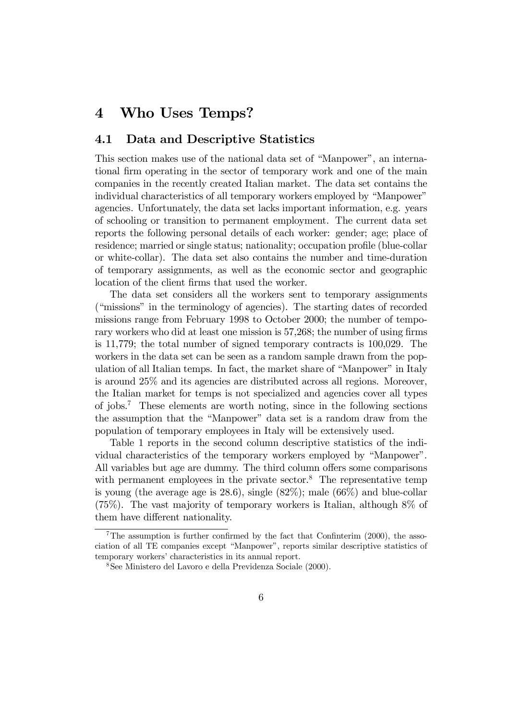#### 4 Who Uses Temps?

#### 4.1 Data and Descriptive Statistics

This section makes use of the national data set of "Manpower", an international firm operating in the sector of temporary work and one of the main companies in the recently created Italian market. The data set contains the individual characteristics of all temporary workers employed by "Manpower" agencies. Unfortunately, the data set lacks important information, e.g. years of schooling or transition to permanent employment. The current data set reports the following personal details of each worker: gender; age; place of residence; married or single status; nationality; occupation profile (blue-collar or white-collar). The data set also contains the number and time-duration of temporary assignments, as well as the economic sector and geographic location of the client firms that used the worker.

The data set considers all the workers sent to temporary assignments ("missions" in the terminology of agencies). The starting dates of recorded missions range from February 1998 to October 2000; the number of temporary workers who did at least one mission is 57,268; the number of using firms is 11,779; the total number of signed temporary contracts is 100,029. The workers in the data set can be seen as a random sample drawn from the population of all Italian temps. In fact, the market share of "Manpower" in Italy is around 25% and its agencies are distributed across all regions. Moreover, the Italian market for temps is not specialized and agencies cover all types of jobs.7 These elements are worth noting, since in the following sections the assumption that the "Manpower" data set is a random draw from the population of temporary employees in Italy will be extensively used.

Table 1 reports in the second column descriptive statistics of the individual characteristics of the temporary workers employed by "Manpower". All variables but age are dummy. The third column offers some comparisons with permanent employees in the private sector. $8$  The representative temp is young (the average age is 28.6), single  $(82\%)$ ; male  $(66\%)$  and blue-collar (75%). The vast majority of temporary workers is Italian, although 8% of them have different nationality.

 $7$ The assumption is further confirmed by the fact that Confiniterim (2000), the association of all TE companies except "Manpower", reports similar descriptive statistics of temporary workers' characteristics in its annual report.

<sup>8</sup>See Ministero del Lavoro e della Previdenza Sociale (2000).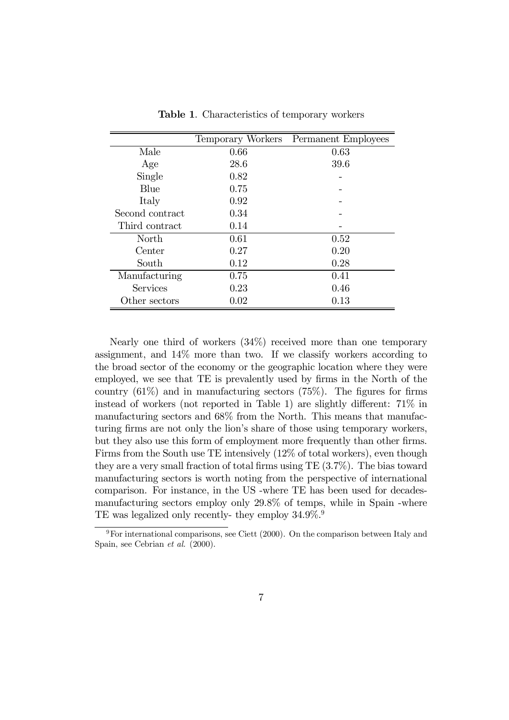|                 |      | Temporary Workers Permanent Employees |
|-----------------|------|---------------------------------------|
| Male            | 0.66 | 0.63                                  |
| Age             | 28.6 | 39.6                                  |
| Single          | 0.82 |                                       |
| Blue            | 0.75 |                                       |
| Italy           | 0.92 |                                       |
| Second contract | 0.34 |                                       |
| Third contract  | 0.14 |                                       |
| North           | 0.61 | 0.52                                  |
| Center          | 0.27 | 0.20                                  |
| South           | 0.12 | 0.28                                  |
| Manufacturing   | 0.75 | 0.41                                  |
| Services        | 0.23 | 0.46                                  |
| Other sectors   | 0.02 | 0.13                                  |

Table 1. Characteristics of temporary workers

Nearly one third of workers (34%) received more than one temporary assignment, and 14% more than two. If we classify workers according to the broad sector of the economy or the geographic location where they were employed, we see that TE is prevalently used by firms in the North of the country  $(61\%)$  and in manufacturing sectors  $(75\%)$ . The figures for firms instead of workers (not reported in Table 1) are slightly different: 71% in manufacturing sectors and 68% from the North. This means that manufacturing firms are not only the lion's share of those using temporary workers, but they also use this form of employment more frequently than other firms. Firms from the South use TE intensively (12% of total workers), even though they are a very small fraction of total firms using TE (3.7%). The bias toward manufacturing sectors is worth noting from the perspective of international comparison. For instance, in the US -where TE has been used for decadesmanufacturing sectors employ only 29.8% of temps, while in Spain -where TE was legalized only recently- they employ  $34.9\%$ .

 $9^9$ For international comparisons, see Ciett (2000). On the comparison between Italy and Spain, see Cebrian et al. (2000).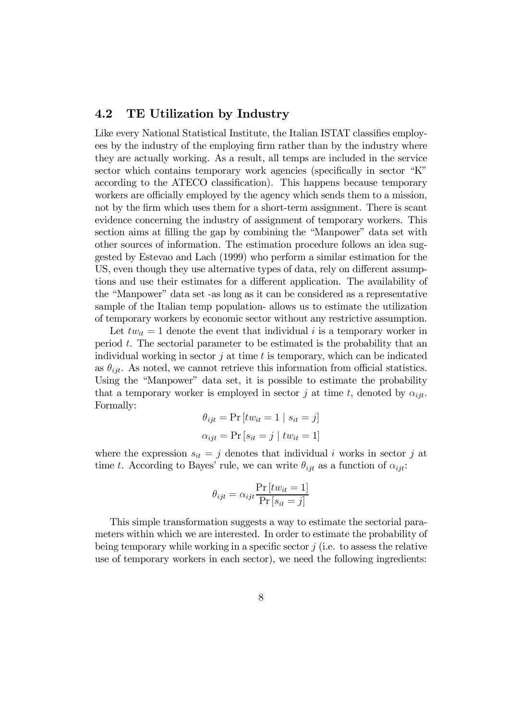#### 4.2 TE Utilization by Industry

Like every National Statistical Institute, the Italian ISTAT classifies employees by the industry of the employing firm rather than by the industry where they are actually working. As a result, all temps are included in the service sector which contains temporary work agencies (specifically in sector "K" according to the ATECO classification). This happens because temporary workers are officially employed by the agency which sends them to a mission, not by the firm which uses them for a short-term assignment. There is scant evidence concerning the industry of assignment of temporary workers. This section aims at filling the gap by combining the "Manpower" data set with other sources of information. The estimation procedure follows an idea suggested by Estevao and Lach (1999) who perform a similar estimation for the US, even though they use alternative types of data, rely on different assumptions and use their estimates for a different application. The availability of the "Manpower" data set -as long as it can be considered as a representative sample of the Italian temp population- allows us to estimate the utilization of temporary workers by economic sector without any restrictive assumption.

Let  $tw_{it} = 1$  denote the event that individual i is a temporary worker in period  $t$ . The sectorial parameter to be estimated is the probability that an individual working in sector  $\hat{\jmath}$  at time  $t$  is temporary, which can be indicated as  $\theta_{ijt}$ . As noted, we cannot retrieve this information from official statistics. Using the "Manpower" data set, it is possible to estimate the probability that a temporary worker is employed in sector j at time t, denoted by  $\alpha_{i}$ . Formally:

$$
\theta_{ijt} = \Pr\left[tw_{it} = 1 \mid s_{it} = j\right]
$$

$$
\alpha_{ijt} = \Pr\left[s_{it} = j \mid tw_{it} = 1\right]
$$

where the expression  $s_{it} = j$  denotes that individual i works in sector j at time t. According to Bayes' rule, we can write  $\theta_{ijt}$  as a function of  $\alpha_{ijt}$ :

$$
\theta_{ijt} = \alpha_{ijt} \frac{\Pr[tw_{it} = 1]}{\Pr[s_{it} = j]}
$$

This simple transformation suggests a way to estimate the sectorial parameters within which we are interested. In order to estimate the probability of being temporary while working in a specific sector  $j$  (i.e. to assess the relative use of temporary workers in each sector), we need the following ingredients: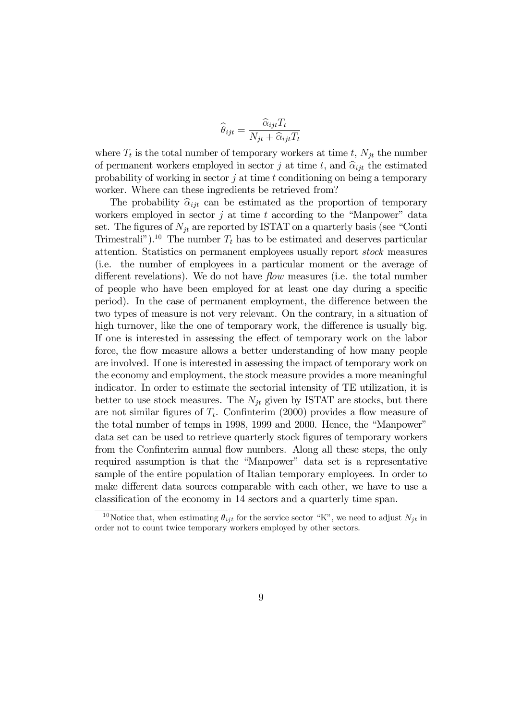$$
\widehat{\theta}_{ijt} = \frac{\widehat{\alpha}_{ijt} T_t}{N_{jt} + \widehat{\alpha}_{ijt} T_t}
$$

where  $T_t$  is the total number of temporary workers at time t,  $N_{it}$  the number of permanent workers employed in sector j at time t, and  $\hat{\alpha}_{ijt}$  the estimated probability of working in sector  $j$  at time  $t$  conditioning on being a temporary worker. Where can these ingredients be retrieved from?

The probability  $\hat{\alpha}_{iit}$  can be estimated as the proportion of temporary workers employed in sector  $j$  at time  $t$  according to the "Manpower" data set. The figures of  $N_{jt}$  are reported by ISTAT on a quarterly basis (see "Conti Trimestrali").<sup>10</sup> The number  $T_t$  has to be estimated and deserves particular attention. Statistics on permanent employees usually report stock measures (i.e. the number of employees in a particular moment or the average of different revelations). We do not have *flow* measures (i.e. the total number of people who have been employed for at least one day during a specific period). In the case of permanent employment, the difference between the two types of measure is not very relevant. On the contrary, in a situation of high turnover, like the one of temporary work, the difference is usually big. If one is interested in assessing the effect of temporary work on the labor force, the flow measure allows a better understanding of how many people are involved. If one is interested in assessing the impact of temporary work on the economy and employment, the stock measure provides a more meaningful indicator. In order to estimate the sectorial intensity of TE utilization, it is better to use stock measures. The  $N_{it}$  given by ISTAT are stocks, but there are not similar figures of  $T_t$ . Confiniterim (2000) provides a flow measure of the total number of temps in 1998, 1999 and 2000. Hence, the "Manpower" data set can be used to retrieve quarterly stock figures of temporary workers from the Confinterim annual flow numbers. Along all these steps, the only required assumption is that the "Manpower" data set is a representative sample of the entire population of Italian temporary employees. In order to make different data sources comparable with each other, we have to use a classification of the economy in 14 sectors and a quarterly time span.

<sup>&</sup>lt;sup>10</sup>Notice that, when estimating  $\theta_{ijt}$  for the service sector "K", we need to adjust  $N_{jt}$  in order not to count twice temporary workers employed by other sectors.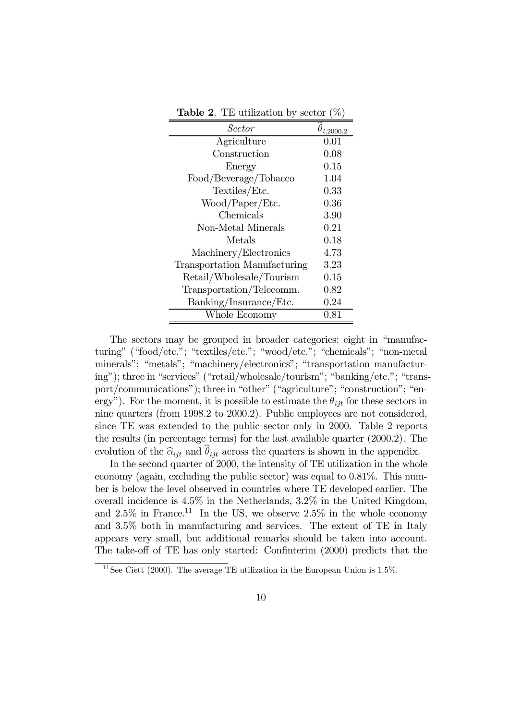| Sector                       | $\theta_{i,2000.2}$ |
|------------------------------|---------------------|
| Agriculture                  | 0.01                |
| Construction                 | 0.08                |
| Energy                       | 0.15                |
| Food/Beverage/Tobacco        | 1.04                |
| Textiles/Etc.                | $0.33\,$            |
| Wood/Paper/Etc.              | 0.36                |
| Chemicals                    | 3.90                |
| Non-Metal Minerals           | 0.21                |
| Metals                       | 0.18                |
| Machinery/Electronics        | 4.73                |
| Transportation Manufacturing | 3.23                |
| Retail/Wholesale/Tourism     | 0.15                |
| Transportation/Telecomm.     | 0.82                |
| Banking/Insurance/Etc.       | 0.24                |
| Whole Economy                | $0.81\,$            |

**Table 2.** TE utilization by sector  $(\%)$ 

The sectors may be grouped in broader categories: eight in "manufacturing" ("food/etc."; "textiles/etc."; "wood/etc."; "chemicals"; "non-metal minerals"; "metals"; "machinery/electronics"; "transportation manufacturing"); three in "services" ("retail/wholesale/tourism"; "banking/etc."; "transport/communications"); three in "other" ("agriculture"; "construction"; "energy"). For the moment, it is possible to estimate the  $\theta_{ijt}$  for these sectors in nine quarters (from 1998.2 to 2000.2). Public employees are not considered, since TE was extended to the public sector only in 2000. Table 2 reports the results (in percentage terms) for the last available quarter (2000.2). The evolution of the  $\hat{\alpha}_{ijt}$  and  $\hat{\theta}_{ijt}$  across the quarters is shown in the appendix.

In the second quarter of 2000, the intensity of TE utilization in the whole economy (again, excluding the public sector) was equal to 0.81%. This number is below the level observed in countries where TE developed earlier. The overall incidence is 4.5% in the Netherlands, 3.2% in the United Kingdom, and  $2.5\%$  in France.<sup>11</sup> In the US, we observe  $2.5\%$  in the whole economy and 3.5% both in manufacturing and services. The extent of TE in Italy appears very small, but additional remarks should be taken into account. The take-off of TE has only started: Confinterim (2000) predicts that the

 $11$ See Ciett (2000). The average TE utilization in the European Union is 1.5%.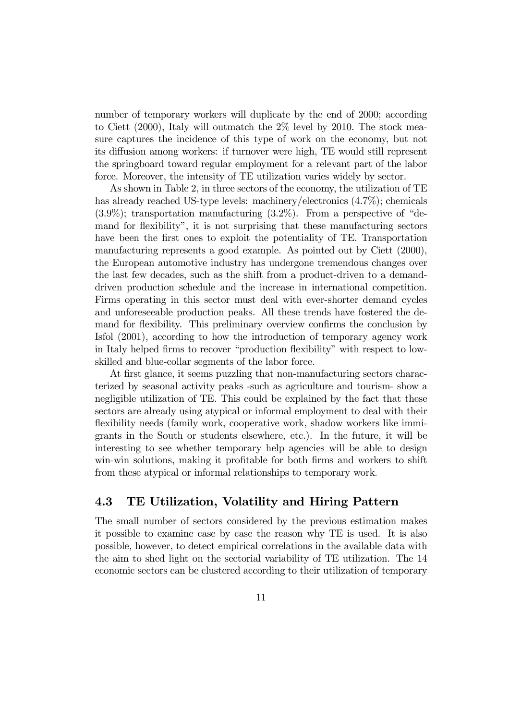number of temporary workers will duplicate by the end of 2000; according to Ciett (2000), Italy will outmatch the 2% level by 2010. The stock measure captures the incidence of this type of work on the economy, but not its diffusion among workers: if turnover were high, TE would still represent the springboard toward regular employment for a relevant part of the labor force. Moreover, the intensity of TE utilization varies widely by sector.

As shown in Table 2, in three sectors of the economy, the utilization of TE has already reached US-type levels: machinery/electronics (4.7%); chemicals  $(3.9\%)$ ; transportation manufacturing  $(3.2\%)$ . From a perspective of "demand for flexibility", it is not surprising that these manufacturing sectors have been the first ones to exploit the potentiality of TE. Transportation manufacturing represents a good example. As pointed out by Ciett (2000), the European automotive industry has undergone tremendous changes over the last few decades, such as the shift from a product-driven to a demanddriven production schedule and the increase in international competition. Firms operating in this sector must deal with ever-shorter demand cycles and unforeseeable production peaks. All these trends have fostered the demand for flexibility. This preliminary overview confirms the conclusion by Isfol (2001), according to how the introduction of temporary agency work in Italy helped firms to recover "production flexibility" with respect to lowskilled and blue-collar segments of the labor force.

At first glance, it seems puzzling that non-manufacturing sectors characterized by seasonal activity peaks -such as agriculture and tourism- show a negligible utilization of TE. This could be explained by the fact that these sectors are already using atypical or informal employment to deal with their flexibility needs (family work, cooperative work, shadow workers like immigrants in the South or students elsewhere, etc.). In the future, it will be interesting to see whether temporary help agencies will be able to design win-win solutions, making it profitable for both firms and workers to shift from these atypical or informal relationships to temporary work.

#### 4.3 TE Utilization, Volatility and Hiring Pattern

The small number of sectors considered by the previous estimation makes it possible to examine case by case the reason why TE is used. It is also possible, however, to detect empirical correlations in the available data with the aim to shed light on the sectorial variability of TE utilization. The 14 economic sectors can be clustered according to their utilization of temporary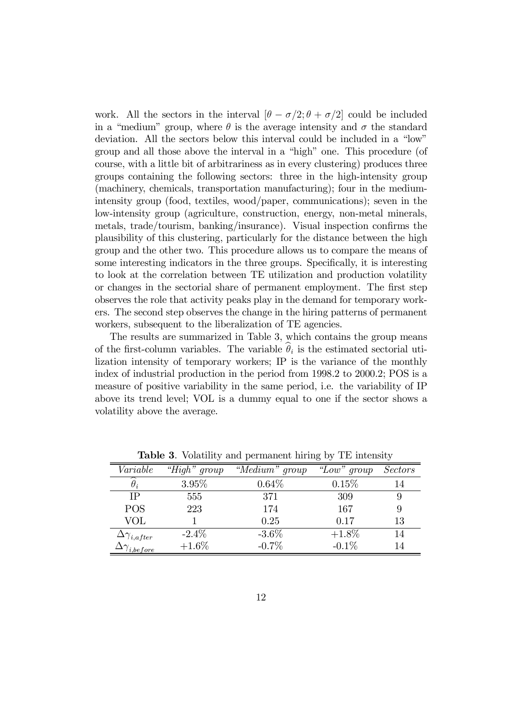work. All the sectors in the interval  $[\theta - \sigma/2; \theta + \sigma/2]$  could be included in a "medium" group, where  $\theta$  is the average intensity and  $\sigma$  the standard deviation. All the sectors below this interval could be included in a "low" group and all those above the interval in a "high" one. This procedure (of course, with a little bit of arbitrariness as in every clustering) produces three groups containing the following sectors: three in the high-intensity group (machinery, chemicals, transportation manufacturing); four in the mediumintensity group (food, textiles, wood/paper, communications); seven in the low-intensity group (agriculture, construction, energy, non-metal minerals, metals, trade/tourism, banking/insurance). Visual inspection confirms the plausibility of this clustering, particularly for the distance between the high group and the other two. This procedure allows us to compare the means of some interesting indicators in the three groups. Specifically, it is interesting to look at the correlation between TE utilization and production volatility or changes in the sectorial share of permanent employment. The first step observes the role that activity peaks play in the demand for temporary workers. The second step observes the change in the hiring patterns of permanent workers, subsequent to the liberalization of TE agencies.

The results are summarized in Table 3, which contains the group means of the first-column variables. The variable  $\theta_i$  is the estimated sectorial utilization intensity of temporary workers; IP is the variance of the monthly index of industrial production in the period from 1998.2 to 2000.2; POS is a measure of positive variability in the same period, i.e. the variability of IP above its trend level; VOL is a dummy equal to one if the sector shows a volatility above the average.

| Variable                  | "High" group | "Medium" group | "Low" group | <i>Sectors</i> |
|---------------------------|--------------|----------------|-------------|----------------|
| $\theta_i$                | $3.95\%$     | $0.64\%$       | 0.15%       | 14             |
| <b>TP</b>                 | 555          | 371            | 309         | 9              |
| <b>POS</b>                | 223          | 174            | 167         | 9              |
| VOL                       |              | 0.25           | 0.17        | 13             |
| $\Delta\gamma_{i,after}$  | $-2.4\%$     | $-3.6\%$       | $+1.8\%$    | 14             |
| $\Delta\gamma_{i,before}$ | $+1.6\%$     | $-0.7\%$       | $-0.1\%$    | 14             |

Table 3. Volatility and permanent hiring by TE intensity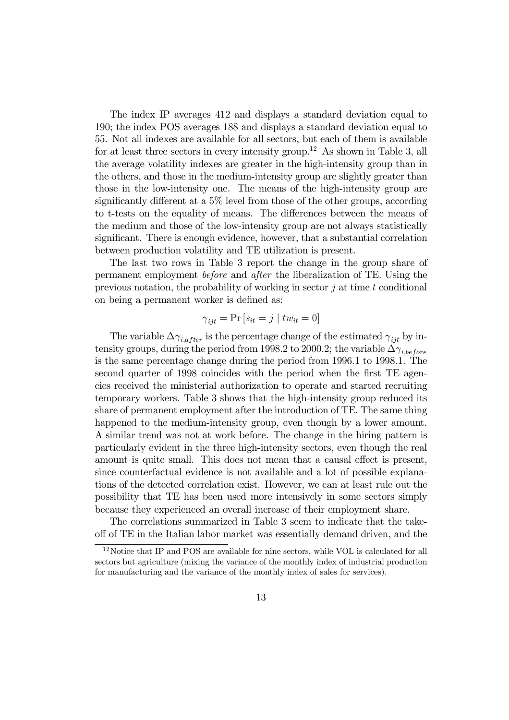The index IP averages 412 and displays a standard deviation equal to 190; the index POS averages 188 and displays a standard deviation equal to 55. Not all indexes are available for all sectors, but each of them is available for at least three sectors in every intensity group.<sup>12</sup> As shown in Table 3, all the average volatility indexes are greater in the high-intensity group than in the others, and those in the medium-intensity group are slightly greater than those in the low-intensity one. The means of the high-intensity group are significantly different at a 5% level from those of the other groups, according to t-tests on the equality of means. The differences between the means of the medium and those of the low-intensity group are not always statistically significant. There is enough evidence, however, that a substantial correlation between production volatility and TE utilization is present.

The last two rows in Table 3 report the change in the group share of permanent employment before and after the liberalization of TE. Using the previous notation, the probability of working in sector  $\hat{\jmath}$  at time  $t$  conditional on being a permanent worker is defined as:

$$
\gamma_{ijt} = \Pr\left[s_{it} = j \mid tw_{it} = 0\right]
$$

The variable  $\Delta\gamma_{i,after}$  is the percentage change of the estimated  $\gamma_{ijt}$  by intensity groups, during the period from 1998.2 to 2000.2; the variable  $\Delta\gamma_{i, before}$ is the same percentage change during the period from 1996.1 to 1998.1. The second quarter of 1998 coincides with the period when the first TE agencies received the ministerial authorization to operate and started recruiting temporary workers. Table 3 shows that the high-intensity group reduced its share of permanent employment after the introduction of TE. The same thing happened to the medium-intensity group, even though by a lower amount. A similar trend was not at work before. The change in the hiring pattern is particularly evident in the three high-intensity sectors, even though the real amount is quite small. This does not mean that a causal effect is present, since counterfactual evidence is not available and a lot of possible explanations of the detected correlation exist. However, we can at least rule out the possibility that TE has been used more intensively in some sectors simply because they experienced an overall increase of their employment share.

The correlations summarized in Table 3 seem to indicate that the takeoff of TE in the Italian labor market was essentially demand driven, and the

<sup>&</sup>lt;sup>12</sup>Notice that IP and POS are available for nine sectors, while VOL is calculated for all sectors but agriculture (mixing the variance of the monthly index of industrial production for manufacturing and the variance of the monthly index of sales for services).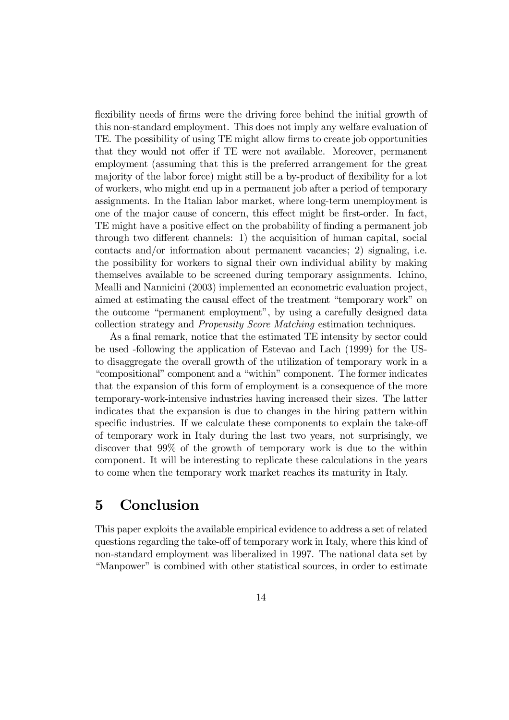flexibility needs of firms were the driving force behind the initial growth of this non-standard employment. This does not imply any welfare evaluation of TE. The possibility of using TE might allow firms to create job opportunities that they would not offer if TE were not available. Moreover, permanent employment (assuming that this is the preferred arrangement for the great majority of the labor force) might still be a by-product of flexibility for a lot of workers, who might end up in a permanent job after a period of temporary assignments. In the Italian labor market, where long-term unemployment is one of the major cause of concern, this effect might be first-order. In fact, TE might have a positive effect on the probability of finding a permanent job through two different channels: 1) the acquisition of human capital, social contacts and/or information about permanent vacancies; 2) signaling, i.e. the possibility for workers to signal their own individual ability by making themselves available to be screened during temporary assignments. Ichino, Mealli and Nannicini (2003) implemented an econometric evaluation project, aimed at estimating the causal effect of the treatment "temporary work" on the outcome "permanent employment", by using a carefully designed data collection strategy and Propensity Score Matching estimation techniques.

As a final remark, notice that the estimated TE intensity by sector could be used -following the application of Estevao and Lach (1999) for the USto disaggregate the overall growth of the utilization of temporary work in a "compositional" component and a "within" component. The former indicates that the expansion of this form of employment is a consequence of the more temporary-work-intensive industries having increased their sizes. The latter indicates that the expansion is due to changes in the hiring pattern within specific industries. If we calculate these components to explain the take-off of temporary work in Italy during the last two years, not surprisingly, we discover that 99% of the growth of temporary work is due to the within component. It will be interesting to replicate these calculations in the years to come when the temporary work market reaches its maturity in Italy.

### 5 Conclusion

This paper exploits the available empirical evidence to address a set of related questions regarding the take-off of temporary work in Italy, where this kind of non-standard employment was liberalized in 1997. The national data set by "Manpower" is combined with other statistical sources, in order to estimate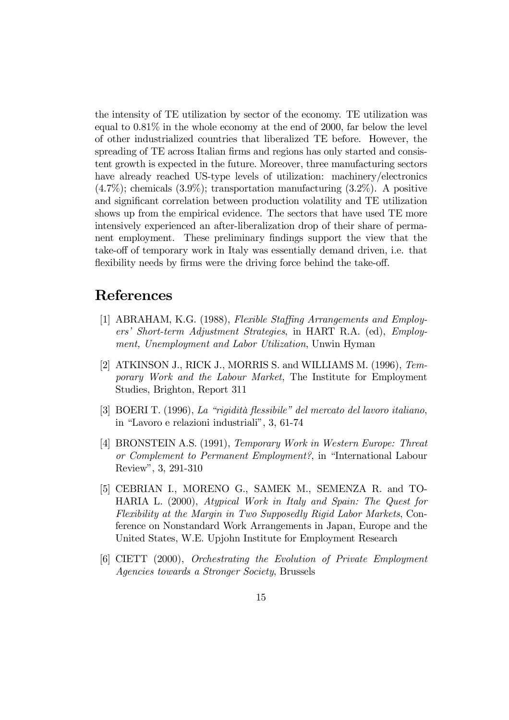the intensity of TE utilization by sector of the economy. TE utilization was equal to  $0.81\%$  in the whole economy at the end of 2000, far below the level of other industrialized countries that liberalized TE before. However, the spreading of TE across Italian firms and regions has only started and consistent growth is expected in the future. Moreover, three manufacturing sectors have already reached US-type levels of utilization: machinery/electronics  $(4.7\%)$ ; chemicals  $(3.9\%)$ ; transportation manufacturing  $(3.2\%)$ . A positive and significant correlation between production volatility and TE utilization shows up from the empirical evidence. The sectors that have used TE more intensively experienced an after-liberalization drop of their share of permanent employment. These preliminary findings support the view that the take-off of temporary work in Italy was essentially demand driven, i.e. that flexibility needs by firms were the driving force behind the take-off.

#### References

- [1] ABRAHAM, K.G. (1988), Flexible Staffing Arrangements and Employers' Short-term Adjustment Strategies, in HART R.A. (ed), Employment, Unemployment and Labor Utilization, Unwin Hyman
- [2] ATKINSON J., RICK J., MORRIS S. and WILLIAMS M. (1996), Temporary Work and the Labour Market, The Institute for Employment Studies, Brighton, Report 311
- [3] BOERI T. (1996), La "rigidità flessibile" del mercato del lavoro italiano, in "Lavoro e relazioni industriali", 3, 61-74
- [4] BRONSTEIN A.S. (1991), Temporary Work in Western Europe: Threat or Complement to Permanent Employment?, in "International Labour Review", 3, 291-310
- [5] CEBRIAN I., MORENO G., SAMEK M., SEMENZA R. and TO-HARIA L. (2000), Atypical Work in Italy and Spain: The Quest for Flexibility at the Margin in Two Supposedly Rigid Labor Markets, Conference on Nonstandard Work Arrangements in Japan, Europe and the United States, W.E. Upjohn Institute for Employment Research
- [6] CIETT (2000), Orchestrating the Evolution of Private Employment Agencies towards a Stronger Society, Brussels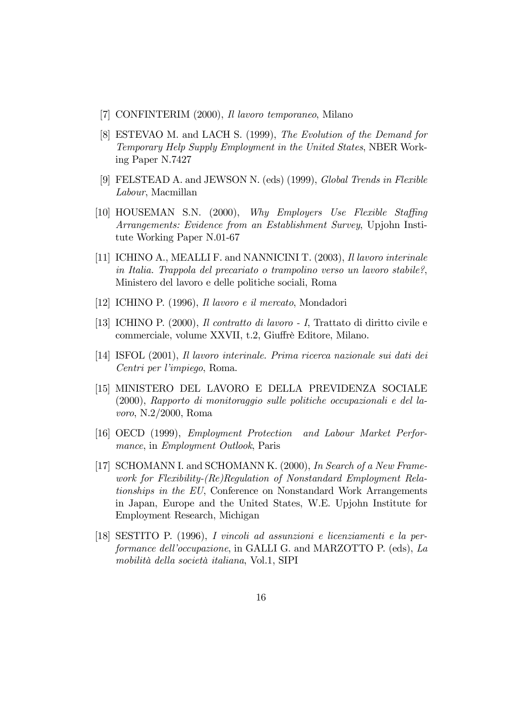- [7] CONFINTERIM (2000), Il lavoro temporaneo, Milano
- [8] ESTEVAO M. and LACH S. (1999), The Evolution of the Demand for Temporary Help Supply Employment in the United States, NBER Working Paper N.7427
- [9] FELSTEAD A. and JEWSON N. (eds) (1999), Global Trends in Flexible Labour, Macmillan
- [10] HOUSEMAN S.N. (2000), Why Employers Use Flexible Staffing Arrangements: Evidence from an Establishment Survey, Upjohn Institute Working Paper N.01-67
- [11] ICHINO A., MEALLI F. and NANNICINI T. (2003), Il lavoro interinale in Italia. Trappola del precariato o trampolino verso un lavoro stabile?, Ministero del lavoro e delle politiche sociali, Roma
- [12] ICHINO P. (1996), Il lavoro e il mercato, Mondadori
- [13] ICHINO P. (2000), Il contratto di lavoro I, Trattato di diritto civile e commerciale, volume XXVII, t.2, Giuffrè Editore, Milano.
- [14] ISFOL (2001), Il lavoro interinale. Prima ricerca nazionale sui dati dei Centri per l'impiego, Roma.
- [15] MINISTERO DEL LAVORO E DELLA PREVIDENZA SOCIALE (2000), Rapporto di monitoraggio sulle politiche occupazionali e del lavoro, N.2/2000, Roma
- [16] OECD (1999), Employment Protection and Labour Market Performance, in Employment Outlook, Paris
- [17] SCHOMANN I. and SCHOMANN K. (2000), In Search of a New Framework for Flexibility-(Re)Regulation of Nonstandard Employment Relationships in the EU, Conference on Nonstandard Work Arrangements in Japan, Europe and the United States, W.E. Upjohn Institute for Employment Research, Michigan
- [18] SESTITO P. (1996), I vincoli ad assunzioni e licenziamenti e la performance dell'occupazione, in GALLI G. and MARZOTTO P. (eds), La mobilità della società italiana, Vol.1, SIPI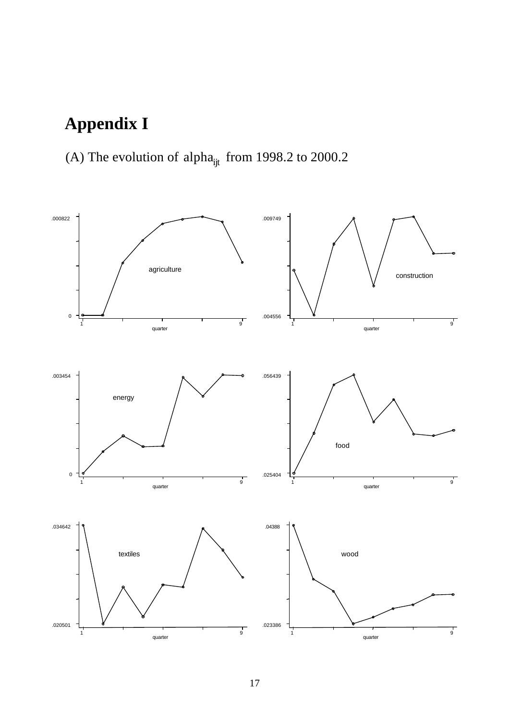# **Appendix I**

# (A) The evolution of alpha<sub>ijt</sub> from 1998.2 to 2000.2

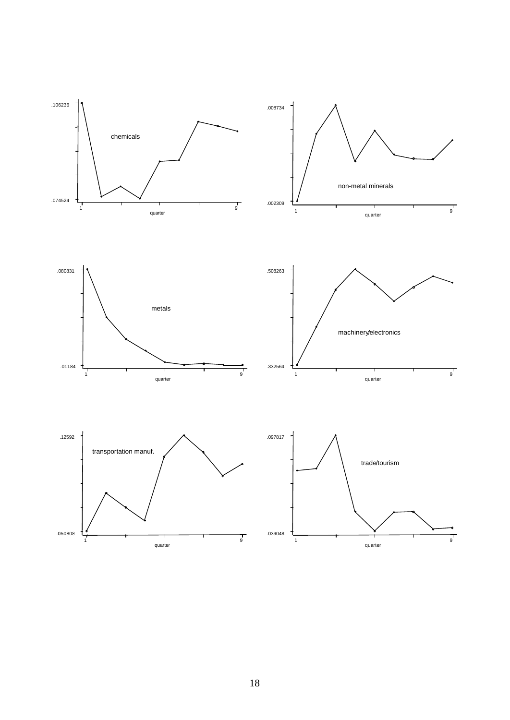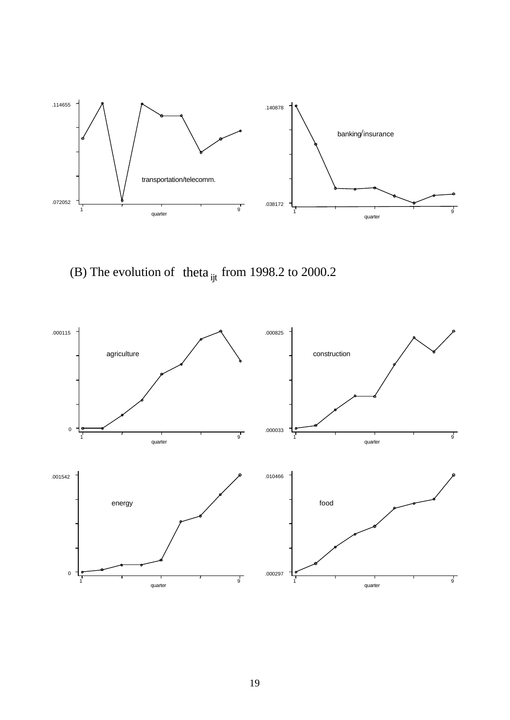

(B) The evolution of theta  $_{ijt}$  from 1998.2 to 2000.2

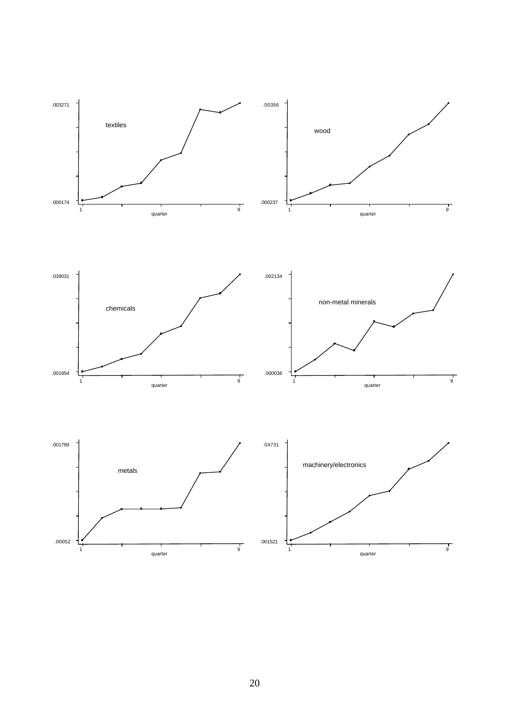